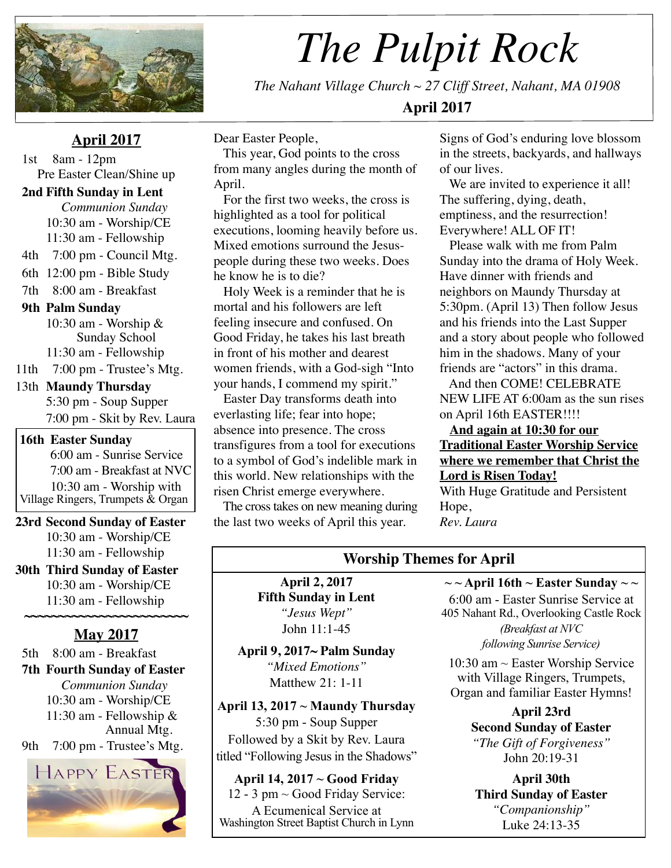

# *The Pulpit Rock*

*The Nahant Village Church ~ 27 Cliff Street, Nahant, MA 01908*  **April 2017**

## **April 2017**

 1st 8am - 12pm Pre Easter Clean/Shine up

#### **2nd Fifth Sunday in Lent**

*Communion Sunday* 10:30 am - Worship/CE 11:30 am - Fellowship 4th 7:00 pm - Council Mtg. 6th 12:00 pm - Bible Study 7th 8:00 am - Breakfast  **9th Palm Sunday**  10:30 am - Worship & Sunday School 11:30 am - Fellowship 11th 7:00 pm - Trustee's Mtg. 13th **Maundy Thursday**

5:30 pm - Soup Supper 7:00 pm - Skit by Rev. Laura

**16th Easter Sunday**  6:00 am - Sunrise Service 7:00 am - Breakfast at NVC 10:30 am - Worship with Village Ringers, Trumpets & Organ

**23rd Second Sunday of Easter**  10:30 am - Worship/CE 11:30 am - Fellowship

**30th Third Sunday of Easter**  10:30 am - Worship/CE 11:30 am - Fellowship

## **~~~~~~~~~~~~~~~~~~~~~~~~ May 2017**

5th 8:00 am - Breakfast

 **7th Fourth Sunday of Easter** *Communion Sunday* 10:30 am - Worship/CE 11:30 am - Fellowship & Annual Mtg.

9th 7:00 pm - Trustee's Mtg.



Dear Easter People,

 This year, God points to the cross from many angles during the month of April.

 For the first two weeks, the cross is highlighted as a tool for political executions, looming heavily before us. Mixed emotions surround the Jesuspeople during these two weeks. Does he know he is to die?

 Holy Week is a reminder that he is mortal and his followers are left feeling insecure and confused. On Good Friday, he takes his last breath in front of his mother and dearest women friends, with a God-sigh "Into your hands, I commend my spirit."

 Easter Day transforms death into everlasting life; fear into hope; absence into presence. The cross transfigures from a tool for executions to a symbol of God's indelible mark in this world. New relationships with the risen Christ emerge everywhere.

 The cross takes on new meaning during the last two weeks of April this year.

Signs of God's enduring love blossom in the streets, backyards, and hallways of our lives.

We are invited to experience it all! The suffering, dying, death, emptiness, and the resurrection! Everywhere! ALL OF IT!

 Please walk with me from Palm Sunday into the drama of Holy Week. Have dinner with friends and neighbors on Maundy Thursday at 5:30pm. (April 13) Then follow Jesus and his friends into the Last Supper and a story about people who followed him in the shadows. Many of your friends are "actors" in this drama.

 And then COME! CELEBRATE NEW LIFE AT 6:00am as the sun rises on April 16th EASTER!!!!

 **And again at 10:30 for our Traditional Easter Worship Service where we remember that Christ the Lord is Risen Today!**

With Huge Gratitude and Persistent Hope, *Rev. Laura*

## **Worship Themes for April**

**April 2, 2017 Fifth Sunday in Lent** *"Jesus Wept"*  John 11:1-45

**April 9, 2017~ Palm Sunday** *"Mixed Emotions"*  Matthew 21: 1-11

**April 13, 2017 ~ Maundy Thursday** 5:30 pm - Soup Supper Followed by a Skit by Rev. Laura titled "Following Jesus in the Shadows"

**April 14, 2017 ~ Good Friday** 12 - 3 pm ~ Good Friday Service: A Ecumenical Service at Washington Street Baptist Church in Lynn

**~ ~ April 16th ~ Easter Sunday ~ ~** 6:00 am - Easter Sunrise Service at 405 Nahant Rd., Overlooking Castle Rock *(Breakfast at NVC following Sunrise Service)*

10:30 am ~ Easter Worship Service with Village Ringers, Trumpets, Organ and familiar Easter Hymns!

> **April 23rd Second Sunday of Easter**  *"The Gift of Forgiveness"*  John 20:19-31

**April 30th Third Sunday of Easter**  *"Companionship"*  Luke 24:13-35